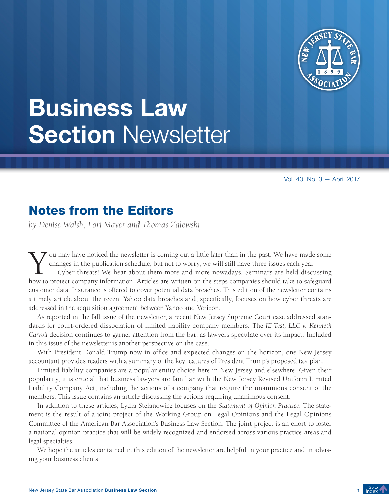

# <span id="page-0-0"></span>Business Law **Section Newsletter**

Vol. 40, No. 3 — April 2017

### Notes from the Editors

*by Denise Walsh, Lori Mayer and Thomas Zalewski*

ou may have noticed the newsletter is coming out a little later than in the past. We have made some changes in the publication schedule, but not to worry, we will still have three issues each year.

Cyber threats! We hear about them more and more nowadays. Seminars are held discussing how to protect company information. Articles are written on the steps companies should take to safeguard customer data. Insurance is offered to cover potential data breaches. This edition of the newsletter contains a timely article about the recent Yahoo data breaches and, specifically, focuses on how cyber threats are addressed in the acquisition agreement between Yahoo and Verizon.

As reported in the fall issue of the newsletter, a recent New Jersey Supreme Court case addressed standards for court-ordered dissociation of limited liability company members. The *IE Test, LLC v. Kenneth Carroll* decision continues to garner attention from the bar, as lawyers speculate over its impact. Included in this issue of the newsletter is another perspective on the case.

With President Donald Trump now in office and expected changes on the horizon, one New Jersey accountant provides readers with a summary of the key features of President Trump's proposed tax plan.

Limited liability companies are a popular entity choice here in New Jersey and elsewhere. Given their popularity, it is crucial that business lawyers are familiar with the New Jersey Revised Uniform Limited Liability Company Act, including the actions of a company that require the unanimous consent of the members. This issue contains an article discussing the actions requiring unanimous consent.

In addition to these articles, Lydia Stefanowicz focuses on the *Statement of Opinion Practice*. The statement is the result of a joint project of the Working Group on Legal Opinions and the Legal Opinions Committee of the American Bar Association's Business Law Section. The joint project is an effort to foster a national opinion practice that will be widely recognized and endorsed across various practice areas and legal specialties.

We hope the articles contained in this edition of the newsletter are helpful in your practice and in advising your business clients.

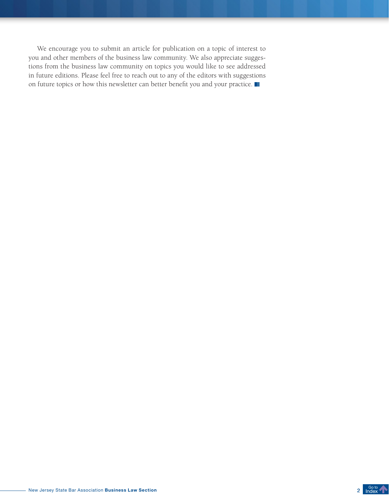We encourage you to submit an article for publication on a topic of interest to you and other members of the business law community. We also appreciate suggestions from the business law community on topics you would like to see addressed in future editions. Please feel free to reach out to any of the editors with suggestions on future topics or how this newsletter can better benefit you and your practice.

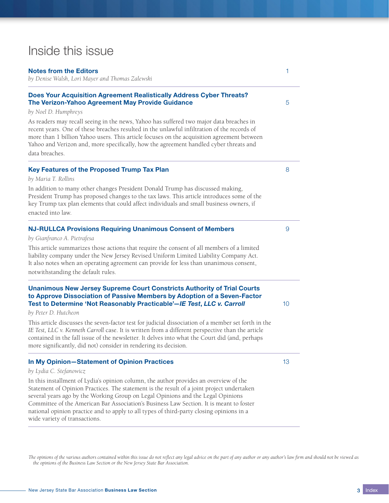### <span id="page-2-0"></span>Inside this issue

#### [Notes from the Editors](#page-0-0) 1

*[by Denise Walsh, Lori Mayer and Thomas Zalewski](#page-0-0)*

### [Does Your Acquisition Agreement Realistically Address Cyber Threats?](#page-4-0)  [The Verizon-Yahoo Agreement May Provide Guidance](#page-4-0) **5** 5

### *[by Noel D. Humphreys](#page-4-0)*

As readers may recall seeing in the news, Yahoo has suffered two major data breaches in recent years. One of these breaches resulted in the unlawful infiltration of the records of more than 1 billion Yahoo users. This article focuses on the acquisition agreement between Yahoo and Verizon and, more specifically, how the agreement handled cyber threats and data breaches.

### [Key Features of the Proposed Trump Tax Plan](#page-7-0) 8

#### *[by Maria T. Rollins](#page-7-0)*

In addition to many other changes President Donald Trump has discussed making, President Trump has proposed changes to the tax laws. This article introduces some of the key Trump tax plan elements that could affect individuals and small business owners, if enacted into law.

### [NJ-RULLCA Provisions Requiring Unanimous Consent of Members](#page-8-0) 999999

#### *[by Gianfranco A. Pietrafesa](#page-8-0)*

This article summarizes those actions that require the consent of all members of a limited liability company under the New Jersey Revised Uniform Limited Liability Company Act. It also notes when an operating agreement can provide for less than unanimous consent, notwithstanding the default rules.

### [Unanimous New Jersey Supreme Court Constricts Authority of Trial Courts](#page-9-0)  [to Approve Dissociation of Passive Members by Adoption of a Seven-Factor](#page-9-0)  [Test to Determine 'Not Reasonably Practicable'—](#page-9-0)*IE Test*, *LLC v. Carroll* 10

*[by Peter D. Hutcheon](#page-9-0)*

This article discusses the seven-factor test for judicial dissociation of a member set forth in the *IE Test, LLC v. Kenneth Carroll* case. It is written from a different perspective than the article contained in the fall issue of the newsletter. It delves into what the Court did (and, perhaps more significantly, did not) consider in rendering its decision.

### **In My Opinion-Statement of Opinion Practices** 13 and 13 and 13 and 13 and 13 and 13 and 13 and 13 and 13 and 13 and 13 and 13 and 13 and 13 and 13 and 13 and 13 and 13 and 13 and 13 and 13 and 13 and 13 and 13 and 13 and

### *[by Lydia C. Stefanowicz](#page-12-0)*

In this installment of Lydia's opinion column, the author provides an overview of the Statement of Opinion Practices. The statement is the result of a joint project undertaken several years ago by the Working Group on Legal Opinions and the Legal Opinions Committee of the American Bar Association's Business Law Section. It is meant to foster national opinion practice and to apply to all types of third-party closing opinions in a wide variety of transactions.

*The opinions of the various authors contained within this issue do not reflect any legal advice on the part of any author or any author's law firm and should not be viewed as the opinions of the Business Law Section or the New Jersey State Bar Association.*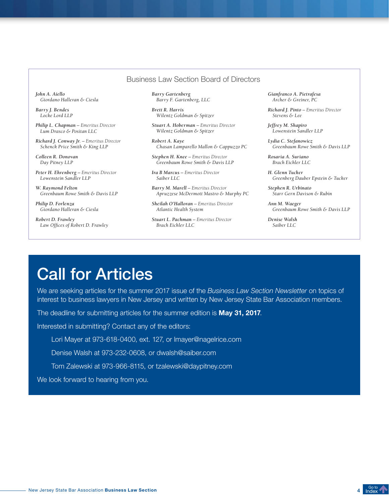### Business Law Section Board of Directors

*John A. Aiello Giordano Halleran & Ciesla*

*Barry J. Bendes Locke Lord LLP*

*Philip L. Chapman – Emeritus Director Lum Drasco & Positan LLC*

*Richard J. Conway Jr. – Emeritus Director Schenck Price Smith & King LLP*

*Colleen R. Donovan Day Pitney LLP*

*Peter H. Ehrenberg – Emeritus Director Lowenstein Sandler LLP*

*W. Raymond Felton Greenbaum Rowe Smith & Davis LLP*

*Philip D. Forlenza Giordano Halleran & Ciesla*

*Robert D. Frawley Law Offices of Robert D. Frawley* *Barry Gartenberg Barry F. Gartenberg, LLC*

*Brett R. Harris Wilentz Goldman & Spitzer*

*Stuart A. Hoberman – Emeritus Director Wilentz Goldman & Spitzer* 

*Robert A. Kaye Chasan Lamparello Mallon & Cappuzzo PC*

*Stephen H. Knee – Emeritus Director Greenbaum Rowe Smith & Davis LLP*

*Ira B Marcus – Emeritus Director Saiber LLC*

*Barry M. Marell – Emeritus Director Apruzzese McDermott Mastro & Murphy PC*

*Sheilah O'Halloran – Emeritus Director Atlantic Health System*

*Stuart L. Pachman – Emeritus Director Brach Eichler LLC*

*Gianfranco A. Pietrafesa Archer & Greiner, PC*

*Richard J. Pinto – Emeritus Director Stevens & Lee*

*Jeffrey M. Shapiro Lowenstein Sandler LLP*

*Lydia C. Stefanowicz Greenbaum Rowe Smith & Davis LLP*

*Rosaria A. Suriano Brach Eichler LLC*

*H. Glenn Tucker Greenberg Dauber Epstein & Tucker* 

*Stephen R. Urbinato Starr Gern Davison & Rubin*

*Ann M. Waeger Greenbaum Rowe Smith & Davis LLP*

*Denise Walsh Saiber LLC*

# Call for Articles

We are seeking articles for the summer 2017 issue of the *Business Law Section Newsletter* on topics of interest to business lawyers in New Jersey and written by New Jersey State Bar Association members.

The deadline for submitting articles for the summer edition is May 31, 2017.

Interested in submitting? Contact any of the editors:

Lori Mayer at 973-618-0400, ext. 127, or lmayer@nagelrice.com

Denise Walsh at 973-232-0608, or dwalsh@saiber.com

Tom Zalewski at 973-966-8115, or tzalewski@daypitney.com

We look forward to hearing from you.

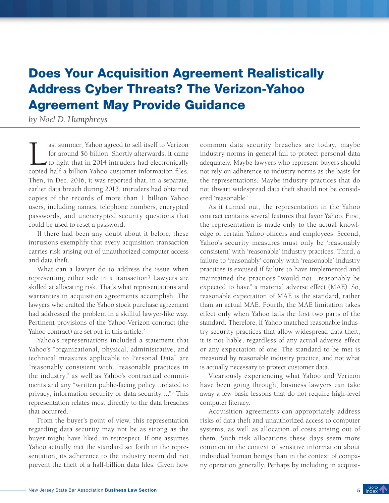# <span id="page-4-0"></span>Does Your Acquisition Agreement Realistically Address Cyber Threats? The Verizon-Yahoo Agreement May Provide Guidance

*by Noel D. Humphreys*

ast summer, Yahoo agreed to sell itself to Verizon<br>for around \$6 billion. Shortly afterwards, it came<br>to light that in 2014 intruders had electronically<br>copied half a billion Yahoo customer information files for around \$6 billion. Shortly afterwards, it came to light that in 2014 intruders had electronically copied half a billion Yahoo customer information files. Then, in Dec. 2016, it was reported that, in a separate, earlier data breach during 2013, intruders had obtained copies of the records of more than 1 billion Yahoo users, including names, telephone numbers, encrypted passwords, and unencrypted security questions that could be used to reset a password.<sup>1</sup>

If there had been any doubt about it before, these intrusions exemplify that every acquisition transaction carries risk arising out of unauthorized computer access and data theft.

What can a lawyer do to address the issue when representing either side in a transaction? Lawyers are skilled at allocating risk. That's what representations and warranties in acquisition agreements accomplish. The lawyers who crafted the Yahoo stock purchase agreement had addressed the problem in a skillful lawyer-like way. Pertinent provisions of the Yahoo-Verizon contract (the Yahoo contract) are set out in this article.<sup>2</sup>

Yahoo's representations included a statement that Yahoo's "organizational, physical, administrative, and technical measures applicable to Personal Data" are "reasonably consistent with…reasonable practices in the industry," as well as Yahoo's contractual commitments and any "written public-facing policy…related to privacy, information security or data security…."3 This representation relates most directly to the data breaches that occurred.

From the buyer's point of view, this representation regarding data security may not be as strong as the buyer might have liked, in retrospect. If one assumes Yahoo actually met the standard set forth in the representation, its adherence to the industry norm did not prevent the theft of a half-billion data files. Given how

common data security breaches are today, maybe industry norms in general fail to protect personal data adequately. Maybe lawyers who represent buyers should not rely on adherence to industry norms as the basis for the representations. Maybe industry practices that do not thwart widespread data theft should not be considered 'reasonable.'

As it turned out, the representation in the Yahoo contract contains several features that favor Yahoo. First, the representation is made only to the actual knowledge of certain Yahoo officers and employees. Second, Yahoo's security measures must only be 'reasonably consistent' with 'reasonable' industry practices. Third, a failure to 'reasonably' comply with 'reasonable' industry practices is excused if failure to have implemented and maintained the practices "would not…reasonably be expected to have" a material adverse effect (MAE). So, reasonable expectation of MAE is the standard, rather than an actual MAE. Fourth, the MAE limitation takes effect only when Yahoo fails the first two parts of the standard. Therefore, if Yahoo matched reasonable industry security practices that allow widespread data theft, it is not liable, regardless of any actual adverse effect or any expectation of one. The standard to be met is measured by reasonable industry practice, and not what is actually necessary to protect customer data.

Vicariously experiencing what Yahoo and Verizon have been going through, business lawyers can take away a few basic lessons that do not require high-level computer literacy.

Acquisition agreements can appropriately address risks of data theft and unauthorized access to computer systems, as well as allocation of costs arising out of them. Such risk allocations these days seem more common in the context of sensitive information about individual human beings than in the context of company operation generally. Perhaps by including in acquisi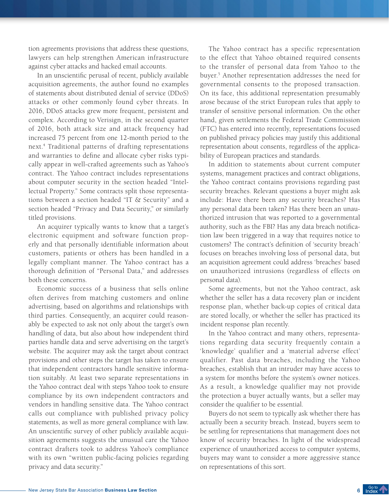tion agreements provisions that address these questions, lawyers can help strengthen American infrastructure against cyber attacks and hacked email accounts.

In an unscientific perusal of recent, publicly available acquisition agreements, the author found no examples of statements about distributed denial of service (DDoS) attacks or other commonly found cyber threats. In 2016, DDoS attacks grew more frequent, persistent and complex. According to Verisign, in the second quarter of 2016, both attack size and attack frequency had increased 75 percent from one 12-month period to the next.4 Traditional patterns of drafting representations and warranties to define and allocate cyber risks typically appear in well-crafted agreements such as Yahoo's contract. The Yahoo contract includes representations about computer security in the section headed "Intellectual Property." Some contracts split those representations between a section headed "IT & Security" and a section headed "Privacy and Data Security," or similarly titled provisions.

An acquirer typically wants to know that a target's electronic equipment and software function properly and that personally identifiable information about customers, patients or others has been handled in a legally compliant manner. The Yahoo contract has a thorough definition of "Personal Data," and addresses both these concerns.

Economic success of a business that sells online often derives from matching customers and online advertising, based on algorithms and relationships with third parties. Consequently, an acquirer could reasonably be expected to ask not only about the target's own handling of data, but also about how independent third parties handle data and serve advertising on the target's website. The acquirer may ask the target about contract provisions and other steps the target has taken to ensure that independent contractors handle sensitive information suitably. At least two separate representations in the Yahoo contract deal with steps Yahoo took to ensure compliance by its own independent contractors and vendors in handling sensitive data. The Yahoo contract calls out compliance with published privacy policy statements, as well as more general compliance with law. An unscientific survey of other publicly available acquisition agreements suggests the unusual care the Yahoo contract drafters took to address Yahoo's compliance with its own "written public-facing policies regarding privacy and data security."

The Yahoo contract has a specific representation to the effect that Yahoo obtained required consents to the transfer of personal data from Yahoo to the buyer.5 Another representation addresses the need for governmental consents to the proposed transaction. On its face, this additional representation presumably arose because of the strict European rules that apply to transfer of sensitive personal information. On the other hand, given settlements the Federal Trade Commission (FTC) has entered into recently, representations focused on published privacy policies may justify this additional representation about consents, regardless of the applicability of European practices and standards.

In addition to statements about current computer systems, management practices and contract obligations, the Yahoo contract contains provisions regarding past security breaches. Relevant questions a buyer might ask include: Have there been any security breaches? Has any personal data been taken? Has there been an unauthorized intrusion that was reported to a governmental authority, such as the FBI? Has any data breach notification law been triggered in a way that requires notice to customers? The contract's definition of 'security breach' focuses on breaches involving loss of personal data, but an acquisition agreement could address 'breaches' based on unauthorized intrusions (regardless of effects on personal data).

Some agreements, but not the Yahoo contract, ask whether the seller has a data recovery plan or incident response plan, whether back-up copies of critical data are stored locally, or whether the seller has practiced its incident response plan recently.

In the Yahoo contract and many others, representations regarding data security frequently contain a 'knowledge' qualifier and a 'material adverse effect' qualifier. Past data breaches, including the Yahoo breaches, establish that an intruder may have access to a system for months before the system's owner notices. As a result, a knowledge qualifier may not provide the protection a buyer actually wants, but a seller may consider the qualifier to be essential.

Buyers do not seem to typically ask whether there has actually been a security breach. Instead, buyers seem to be settling for representations that management does not know of security breaches. In light of the widespread experience of unauthorized access to computer systems, buyers may want to consider a more aggressive stance on representations of this sort.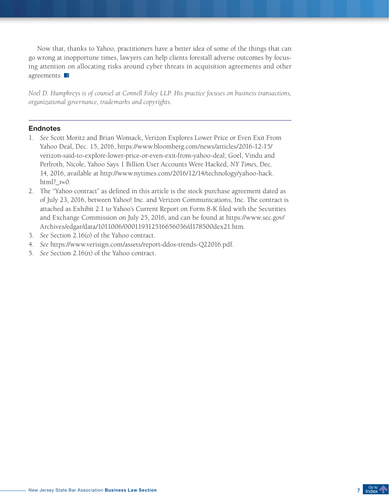Now that, thanks to Yahoo, practitioners have a better idea of some of the things that can go wrong at inopportune times, lawyers can help clients forestall adverse outcomes by focusing attention on allocating risks around cyber threats in acquisition agreements and other agreements.

*Noel D. Humphreys is of counsel at Connell Foley LLP. His practice focuses on business transactions, organizational governance, trademarks and copyrights.* 

- 1. *See* Scott Moritz and Brian Womack, Verizon Explores Lower Price or Even Exit From Yahoo Deal, Dec. 15, 2016, https://www.bloomberg.com/news/articles/2016-12-15/ verizon-said-to-explore-lower-price-or-even-exit-from-yahoo-deal; Goel, Vindu and Perlroth, Nicole, Yahoo Says 1 Billion User Accounts Were Hacked, *NY Times*, Dec. 14, 2016, available at [http://www.nytimes.com/2016/12/14/technology/yahoo-hack.](http://www.nytimes.com/2016/12/14/technology/yahoo-hack.html?_r=0) html? $r=0$ .
- 2. The "Yahoo contract" as defined in this article is the stock purchase agreement dated as of July 23, 2016, between Yahoo! Inc. and Verizon Communications, Inc. The contract is attached as Exhibit 2.1 to Yahoo's Current Report on Form 8-K filed with the Securities and Exchange Commission on July 25, 2016, and can be found at [https://www.sec.gov/](https://www.sec.gov/Archives/edgar/data/1011006/000119312516656036/d178500dex21.htm) [Archives/edgar/data/1011006/000119312516656036/d178500dex21.htm](https://www.sec.gov/Archives/edgar/data/1011006/000119312516656036/d178500dex21.htm).
- 3. *See* Section 2.16(o) of the Yahoo contract.
- 4. *See* https://www.verisign.com/assets/report-ddos-trends-Q22016.pdf.
- 5. *See* Section 2.16(n) of the Yahoo contract.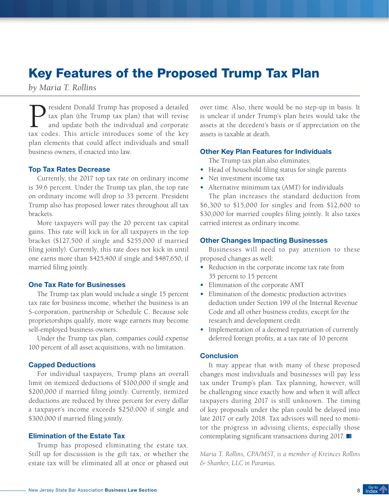### <span id="page-7-0"></span>Key Features of the Proposed Trump Tax Plan

*by Maria T. Rollins*

**P**resident Donald Trump has proposed a detailed<br>tax plan (the Trump tax plan) that will revise<br>and update both the individual and corporate<br>tax codes. This article introduces some of the key tax plan (the Trump tax plan) that will revise and update both the individual and corporate tax codes. This article introduces some of the key plan elements that could affect individuals and small business owners, if enacted into law.

### Top Tax Rates Decrease

Currently, the 2017 top tax rate on ordinary income is 39.6 percent. Under the Trump tax plan, the top rate on ordinary income will drop to 33 percent. President Trump also has proposed lower rates throughout all tax brackets.

More taxpayers will pay the 20 percent tax capital gains. This rate will kick in for all taxpayers in the top bracket (\$127,500 if single and \$255,000 if married filing jointly). Currently, this rate does not kick in until one earns more than \$425,400 if single and \$487,650, if married filing jointly.

### One Tax Rate for Businesses

The Trump tax plan would include a single 15 percent tax rate for business income, whether the business is an S-corporation, partnership or Schedule C. Because sole proprietorships qualify, more wage earners may become self-employed business owners.

Under the Trump tax plan, companies could expense 100 percent of all asset acquisitions, with no limitation.

### Capped Deductions

For individual taxpayers, Trump plans an overall limit on itemized deductions of \$100,000 if single and \$200,000 if married filing jointly. Currently, itemized deductions are reduced by three percent for every dollar a taxpayer's income exceeds \$250,000 if single and \$300,000 if married filing jointly.

### Elimination of the Estate Tax

Trump has proposed eliminating the estate tax. Still up for discussion is the gift tax, or whether the estate tax will be eliminated all at once or phased out over time. Also, there would be no step-up in basis. It is unclear if under Trump's plan heirs would take the assets at the decedent's basis or if appreciation on the assets is taxable at death.

### Other Key Plan Features for Individuals

The Trump tax plan also eliminates:

- **•**  Head of household filing status for single parents
- Net investment income tax
- Alternative minimum tax (AMT) for individuals

The plan increases the standard deduction from \$6,300 to \$15,000 for singles and from \$12,600 to \$30,000 for married couples filing jointly. It also taxes carried interest as ordinary income.

### Other Changes Impacting Businesses

Businesses will need to pay attention to these proposed changes as well:

- **•**  Reduction in the corporate income tax rate from 35 percent to 15 percent
- **•**  Elimination of the corporate AMT
- **•**  Elimination of the domestic production activities deduction under Section 199 of the Internal Revenue Code and all other business credits, except for the research and development credit
- **•**  Implementation of a deemed repatriation of currently deferred foreign profits, at a tax rate of 10 percent

### **Conclusion**

It may appear that with many of these proposed changes most individuals and businesses will pay less tax under Trump's plan. Tax planning, however, will be challenging since exactly how and when it will affect taxpayers during 2017 is still unknown. The timing of key proposals under the plan could be delayed into late 2017 or early 2018. Tax advisors will need to monitor the progress in advising clients, especially those contemplating significant transactions during 2017.

*Maria T. Rollins, CPA/MST, is a member of Kreinces Rollins & Shanker, LLC in Paramus.*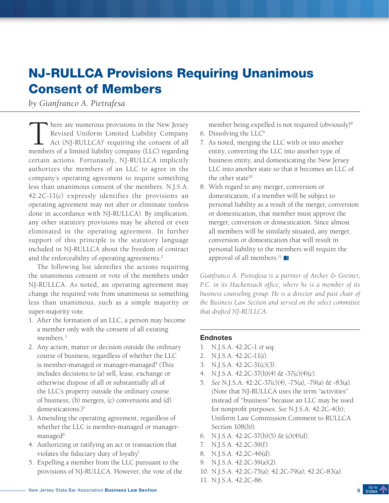## <span id="page-8-0"></span>NJ-RULLCA Provisions Requiring Unanimous Consent of Members

*by Gianfranco A. Pietrafesa*

There are numerous provisions in the New Jersey<br>Revised Uniform Limited Liability Company<br>Act (NJ-RULLCA)<sup>1</sup> requiring the consent of all<br>members of a limited liability company (LLC) regarding Revised Uniform Limited Liability Company Act (NJ-RULLCA)<sup>1</sup> requiring the consent of all members of a limited liability company (LLC) regarding certain actions. Fortunately, NJ-RULLCA implicitly authorizes the members of an LLC to agree in the company's operating agreement to require something less than unanimous consent of the members. N.J.S.A. 42:2C-11(c) expressly identifies the provisions an operating agreement may not alter or eliminate (unless done in accordance with NJ-RULLCA). By implication, any other statutory provisions may be altered or even eliminated in the operating agreement. In further support of this principle is the statutory language included in NJ-RULLCA about the freedom of contract and the enforceability of operating agreements.<sup>2</sup>

The following list identifies the actions requiring the unanimous consent or vote of the members under NJ-RULLCA. As noted, an operating agreement may change the required vote from unanimous to something less than unanimous, such as a simple majority or super-majority vote.

- 1. After the formation of an LLC, a person may become a member only with the consent of all existing members<sup>3</sup>
- 2. Any action, matter or decision outside the ordinary course of business, regardless of whether the LLC is member-managed or manager-managed<sup>4</sup> (This includes decisions to (a) sell, lease, exchange or otherwise dispose of all or substantially all of the LLC's property outside the ordinary course of business, (b) mergers, (c) conversions and (d) domestications.)<sup>5</sup>
- 3. Amending the operating agreement, regardless of whether the LLC is member-managed or managermanaged<sup>6</sup>
- 4. Authorizing or ratifying an act or transaction that violates the fiduciary duty of loyalty<sup>7</sup>
- 5. Expelling a member from the LLC pursuant to the provisions of NJ-RULLCA. However, the vote of the

member being expelled is not required (obviously)<sup>8</sup>

- 6. Dissolving the LLC9
- 7. As noted, merging the LLC with or into another entity, converting the LLC into another type of business entity, and domesticating the New Jersey LLC into another state so that it becomes an LLC of the other state<sup>10</sup>
- 8. With regard to any merger, conversion or domestication, if a member will be subject to personal liability as a result of the merger, conversion or domestication, that member must approve the merger, conversion or domestication. Since almost all members will be similarly situated, any merger, conversion or domestication that will result in personal liability to the members will require the approval of all members.<sup>11</sup>

*Gianfranco A. Pietrafesa is a partner of Archer & Greiner, P.C. in its Hackensack office, where he is a member of its business counseling group. He is a director and past chair of the Business Law Section and served on the select committee that drafted NJ-RULLCA.* 

- 1. N.J.S.A. 42:2C-1 *et seq*.
- 2. N.J.S.A. 42:2C-11(i).
- 3. N.J.S.A. 42:2C-31(c)(3).
- 4. N.J.S.A. 42:2C-37(b)(4) & -37(c)(4)(c).
- 5. *See* N.J.S.A. 42:2C-37(c)(4), -75(a), -79(a) & -83(a). (Note that NJ-RULLCA uses the term "activities" instead of "business" because an LLC may be used for nonprofit purposes. *See* N.J.S.A. 42:2C-4(b); Uniform Law Commission Comment to RULLCA Section 108(b)).
- 6. N.J.S.A. 42:2C-37(b)(5) & (c)(4)(d).
- 7. N.J.S.A. 42:2C-39(f).
- 8. N.J.S.A. 42:2C-46(d).
- 9. N.J.S.A. 42:2C-39(a)(2).
- 10. N.J.S.A. 42:2C-75(a); 42:2C-79(a); 42:2C-83(a).
- 11. N.J.S.A. 42:2C-86.

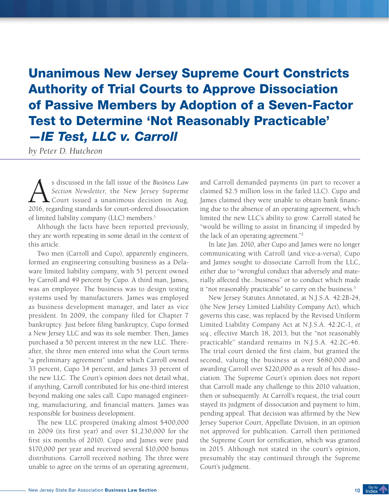# <span id="page-9-0"></span>Unanimous New Jersey Supreme Court Constricts Authority of Trial Courts to Approve Dissociation of Passive Members by Adoption of a Seven-Factor Test to Determine 'Not Reasonably Practicable' —*IE Test, LLC v. Carroll*

*by Peter D. Hutcheon*

s discussed in the fall issue of the *Business Law*<br>Section *Newsletter*, the *New Jersey Supreme*<br>Court issued a unanimous decision in Aug.<br>2016 regarding standards for court-ordered dissociation *Section Newsletter*, the New Jersey Supreme  $\blacktriangle$  Court issued a unanimous decision in Aug. 2016, regarding standards for court-ordered dissociation of limited liability company (LLC) members.<sup>1</sup>

Although the facts have been reported previously, they are worth repeating in some detail in the context of this article.

Two men (Carroll and Cupo), apparently engineers, formed an engineering consulting business as a Delaware limited liability company, with 51 percent owned by Carroll and 49 percent by Cupo. A third man, James, was an employee. The business was to design testing systems used by manufacturers. James was employed as business development manager, and later as vice president. In 2009, the company filed for Chapter 7 bankruptcy. Just before filing bankruptcy, Cupo formed a New Jersey LLC and was its sole member. Then, James purchased a 50 percent interest in the new LLC. Thereafter, the three men entered into what the Court terms "a preliminary agreement" under which Carroll owned 33 percent, Cupo 34 percent, and James 33 percent of the new LLC. The Court's opinion does not detail what, if anything, Carroll contributed for his one-third interest beyond making one sales call. Cupo managed engineering, manufacturing, and financial matters. James was responsible for business development.

The new LLC prospered (making almost \$400,000 in 2009 (its first year) and over \$1,230,000 for the first six months of 2010). Cupo and James were paid \$170,000 per year and received several \$10,000 bonus distributions. Carroll received nothing. The three were unable to agree on the terms of an operating agreement,

and Carroll demanded payments (in part to recover a claimed \$2.5 million loss in the failed LLC). Cupo and James claimed they were unable to obtain bank financing due to the absence of an operating agreement, which limited the new LLC's ability to grow. Carroll stated he "would be willing to assist in financing if impeded by the lack of an operating agreement."2

In late Jan. 2010, after Cupo and James were no longer communicating with Carroll (and vice-a-versa), Cupo and James sought to dissociate Carroll from the LLC, either due to "wrongful conduct that adversely and materially affected the...business" or to conduct which made it "not reasonably practicable" to carry on the business.<sup>3</sup>

New Jersey Statutes Annotated, at N.J.S.A. 42:2B-24, (the New Jersey Limited Liability Company Act), which governs this case, was replaced by the Revised Uniform Limited Liability Company Act at N.J.S.A. 42:2C-1, *et seq*., effective March 18, 2013, but the "not reasonably practicable" standard remains in N.J.S.A. 42:2C-46. The trial court denied the first claim, but granted the second, valuing the business at over \$680,000 and awarding Carroll over \$220,000 as a result of his dissociation. The Supreme Court's opinion does not report that Carroll made any challenge to this 2010 valuation, then or subsequently. At Carroll's request, the trial court stayed its judgment of dissociation and payment to him, pending appeal. That decision was affirmed by the New Jersey Superior Court, Appellate Division, in an opinion not approved for publication. Carroll then petitioned the Supreme Court for certification, which was granted in 2015. Although not stated in the court's opinion, presumably the stay continued through the Supreme Court's judgment.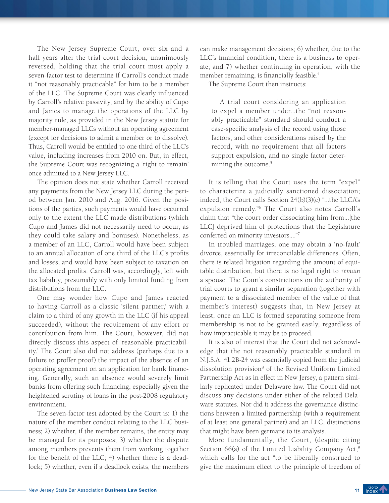The New Jersey Supreme Court, over six and a half years after the trial court decision, unanimously reversed, holding that the trial court must apply a seven-factor test to determine if Carroll's conduct made it "not reasonably practicable" for him to be a member of the LLC. The Supreme Court was clearly influenced by Carroll's relative passivity, and by the ability of Cupo and James to manage the operations of the LLC by majority rule, as provided in the New Jersey statute for member-managed LLCs without an operating agreement (except for decisions to admit a member or to dissolve). Thus, Carroll would be entitled to one third of the LLC's value, including increases from 2010 on. But, in effect, the Supreme Court was recognizing a 'right to remain' once admitted to a New Jersey LLC.

The opinion does not state whether Carroll received any payments from the New Jersey LLC during the period between Jan. 2010 and Aug. 2016. Given the positions of the parties, such payments would have occurred only to the extent the LLC made distributions (which Cupo and James did not necessarily need to occur, as they could take salary and bonuses). Nonetheless, as a member of an LLC, Carroll would have been subject to an annual allocation of one third of the LLC's profits and losses, and would have been subject to taxation on the allocated profits. Carroll was, accordingly, left with tax liability, presumably with only limited funding from distributions from the LLC.

One may wonder how Cupo and James reacted to having Carroll as a classic 'silent partner,' with a claim to a third of any growth in the LLC (if his appeal succeeded), without the requirement of any effort or contribution from him. The Court, however, did not directly discuss this aspect of 'reasonable practicability.' The Court also did not address (perhaps due to a failure to proffer proof) the impact of the absence of an operating agreement on an application for bank financing. Generally, such an absence would severely limit banks from offering such financing, especially given the heightened scrutiny of loans in the post-2008 regulatory environment.

The seven-factor test adopted by the Court is: 1) the nature of the member conduct relating to the LLC business; 2) whether, if the member remains, the entity may be managed for its purposes; 3) whether the dispute among members prevents them from working together for the benefit of the LLC; 4) whether there is a deadlock; 5) whether, even if a deadlock exists, the members

can make management decisions; 6) whether, due to the LLC's financial condition, there is a business to operate; and 7) whether continuing in operation, with the member remaining, is financially feasible.<sup>4</sup>

The Supreme Court then instructs:

A trial court considering an application to expel a member under...the "not reasonably practicable" standard should conduct a case-specific analysis of the record using those factors, and other considerations raised by the record, with no requirement that all factors support expulsion, and no single factor determining the outcome.<sup>5</sup>

It is telling that the Court uses the term "expel" to characterize a judicially sanctioned dissociation; indeed, the Court calls Section 24(b)(3)(c) "...the LLCA's expulsion remedy."6 The Court also notes Carroll's claim that "the court order dissociating him from...[the LLC] deprived him of protections that the Legislature conferred on minority investors...."7

In troubled marriages, one may obtain a 'no-fault' divorce, essentially for irreconcilable differences. Often, there is related litigation regarding the amount of equitable distribution, but there is no legal right to *remain* a spouse. The Court's constrictions on the authority of trial courts to grant a similar separation (together with payment to a dissociated member of the value of that member's interest) suggests that, in New Jersey at least, once an LLC is formed separating someone from membership is not to be granted easily, regardless of how impracticable it may be to proceed.

It is also of interest that the Court did not acknowledge that the not reasonably practicable standard in N.J.S.A. 41:2B-24 was essentially copied from the judicial dissolution provision<sup>8</sup> of the Revised Uniform Limited Partnership Act as in effect in New Jersey, a pattern similarly replicated under Delaware law. The Court did not discuss any decisions under either of the related Delaware statutes. Nor did it address the governance distinctions between a limited partnership (with a requirement of at least one general partner) and an LLC, distinctions that might have been germane to its analysis.

More fundamentally, the Court, (despite citing Section  $66(a)$  of the Limited Liability Company Act,<sup>9</sup> which calls for the act "to be liberally construed to give the maximum effect to the principle of freedom of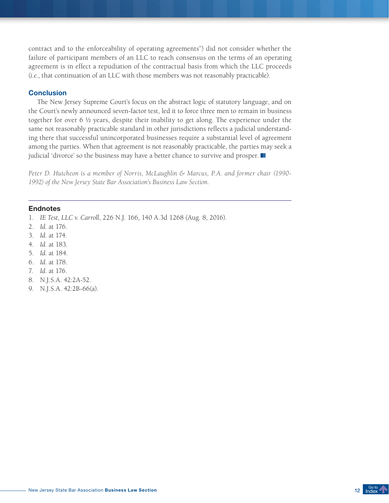contract and to the enforceability of operating agreements") did not consider whether the failure of participant members of an LLC to reach consensus on the terms of an operating agreement is in effect a repudiation of the contractual basis from which the LLC proceeds (*i.e*., that continuation of an LLC with those members was not reasonably practicable).

### **Conclusion**

The New Jersey Supreme Court's focus on the abstract logic of statutory language, and on the Court's newly announced seven-factor test, led it to force three men to remain in business together for over 6 ½ years, despite their inability to get along. The experience under the same not reasonably practicable standard in other jurisdictions reflects a judicial understanding there that successful unincorporated businesses require a substantial level of agreement among the parties. When that agreement is not reasonably practicable, the parties may seek a judicial 'divorce' so the business may have a better chance to survive and prosper.

*Peter D. Hutcheon is a member of Norris, McLaughlin & Marcus, P.A. and former chair (1990- 1992) of the New Jersey State Bar Association's Business Law Section.*

- 1. *IE Test, LLC v. Carroll*, 226 N.J. 166, 140 A.3d 1268 (Aug. 8, 2016).
- 2. *Id.* at 176.
- 3. *Id.* at 174.
- 4. *Id.* at 183.
- 5. *Id.* at 184.
- 6. *Id.* at 178.
- 7. *Id.* at 176.
- 8. N.J.S.A. 42:2A-52.
- 9. N.J.S.A. 42:2B-66(a).

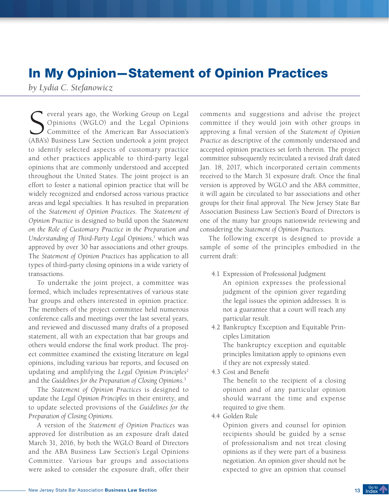### <span id="page-12-0"></span>In My Opinion—Statement of Opinion Practices

*by Lydia C. Stefanowicz*

Several years ago, the Working Group on Legal<br>Opinions (WGLO) and the Legal Opinions<br>Committee of the American Bar Association's<br>(ABA's) Business Law Section undertook a joint project Opinions (WGLO) and the Legal Opinions Committee of the American Bar Association's (ABA's) Business Law Section undertook a joint project to identify selected aspects of customary practice and other practices applicable to third-party legal opinions that are commonly understood and accepted throughout the United States. The joint project is an effort to foster a national opinion practice that will be widely recognized and endorsed across various practice areas and legal specialties. It has resulted in preparation of the *Statement of Opinion Practices*. The *Statement of Opinion Practice* is designed to build upon the *Statement on the Role of Customary Practice in the Preparation and*  Understanding of Third-Party Legal Opinions,<sup>1</sup> which was approved by over 30 bar associations and other groups. The *Statement of Opinion Practices* has application to all types of third-party closing opinions in a wide variety of transactions.

To undertake the joint project, a committee was formed, which includes representatives of various state bar groups and others interested in opinion practice. The members of the project committee held numerous conference calls and meetings over the last several years, and reviewed and discussed many drafts of a proposed statement, all with an expectation that bar groups and others would endorse the final work product. The project committee examined the existing literature on legal opinions, including various bar reports, and focused on updating and amplifying the *Legal Opinion Principles*<sup>2</sup> and the *Guidelines for the Preparation of Closing Opinions.*<sup>3</sup>

The *Statement of Opinion Practices* is designed to update the *Legal Opinion Principles* in their entirety, and to update selected provisions of the *Guidelines for the Preparation of Closing Opinions*.

A version of the *Statement of Opinion Practices* was approved for distribution as an exposure draft dated March 31, 2016, by both the WGLO Board of Directors and the ABA Business Law Section's Legal Opinions Committee. Various bar groups and associations were asked to consider the exposure draft, offer their

comments and suggestions and advise the project committee if they would join with other groups in approving a final version of the *Statement of Opinion Practice* as descriptive of the commonly understood and accepted opinion practices set forth therein. The project committee subsequently recirculated a revised draft dated Jan. 18, 2017, which incorporated certain comments received to the March 31 exposure draft. Once the final version is approved by WGLO and the ABA committee, it will again be circulated to bar associations and other groups for their final approval. The New Jersey State Bar Association Business Law Section's Board of Directors is one of the many bar groups nationwide reviewing and considering the *Statement of Opinion Practices*.

The following excerpt is designed to provide a sample of some of the principles embodied in the current draft:

- 4.1 Expression of Professional Judgment An opinion expresses the professional judgment of the opinion giver regarding the legal issues the opinion addresses. It is not a guarantee that a court will reach any particular result.
- 4.2 Bankruptcy Exception and Equitable Principles Limitation

The bankruptcy exception and equitable principles limitation apply to opinions even if they are not expressly stated.

4.3 Cost and Benefit

The benefit to the recipient of a closing opinion and of any particular opinion should warrant the time and expense required to give them.

4.4 Golden Rule

Opinion givers and counsel for opinion recipients should be guided by a sense of professionalism and not treat closing opinions as if they were part of a business negotiation. An opinion giver should not be expected to give an opinion that counsel